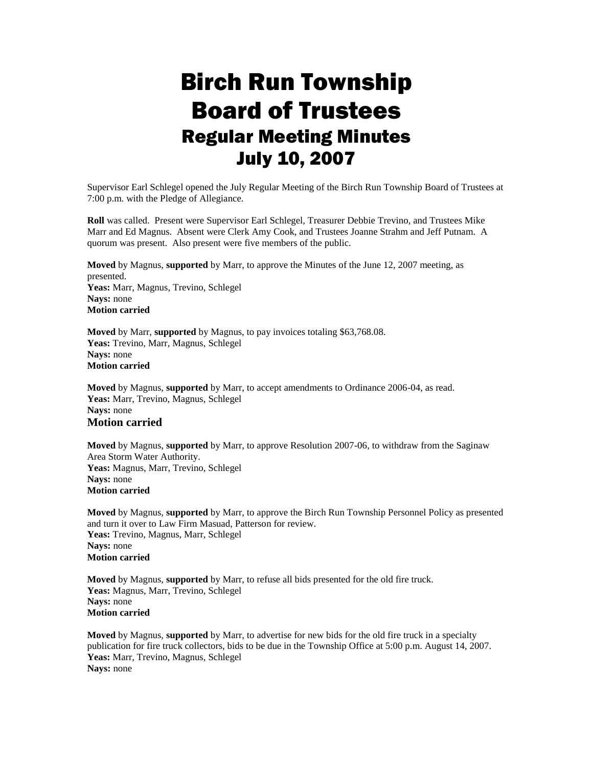## Birch Run Township Board of Trustees Regular Meeting Minutes July 10, 2007

Supervisor Earl Schlegel opened the July Regular Meeting of the Birch Run Township Board of Trustees at 7:00 p.m. with the Pledge of Allegiance.

**Roll** was called. Present were Supervisor Earl Schlegel, Treasurer Debbie Trevino, and Trustees Mike Marr and Ed Magnus. Absent were Clerk Amy Cook, and Trustees Joanne Strahm and Jeff Putnam. A quorum was present. Also present were five members of the public.

**Moved** by Magnus, **supported** by Marr, to approve the Minutes of the June 12, 2007 meeting, as presented. **Yeas:** Marr, Magnus, Trevino, Schlegel **Nays:** none **Motion carried**

**Moved** by Marr, **supported** by Magnus, to pay invoices totaling \$63,768.08. **Yeas:** Trevino, Marr, Magnus, Schlegel **Nays:** none **Motion carried**

**Moved** by Magnus, **supported** by Marr, to accept amendments to Ordinance 2006-04, as read. **Yeas:** Marr, Trevino, Magnus, Schlegel **Nays:** none **Motion carried**

**Moved** by Magnus, **supported** by Marr, to approve Resolution 2007-06, to withdraw from the Saginaw Area Storm Water Authority. **Yeas:** Magnus, Marr, Trevino, Schlegel **Nays:** none **Motion carried**

**Moved** by Magnus, **supported** by Marr, to approve the Birch Run Township Personnel Policy as presented and turn it over to Law Firm Masuad, Patterson for review. **Yeas:** Trevino, Magnus, Marr, Schlegel **Nays:** none **Motion carried**

**Moved** by Magnus, **supported** by Marr, to refuse all bids presented for the old fire truck. **Yeas:** Magnus, Marr, Trevino, Schlegel **Nays:** none **Motion carried**

**Moved** by Magnus, **supported** by Marr, to advertise for new bids for the old fire truck in a specialty publication for fire truck collectors, bids to be due in the Township Office at 5:00 p.m. August 14, 2007. **Yeas:** Marr, Trevino, Magnus, Schlegel **Nays:** none